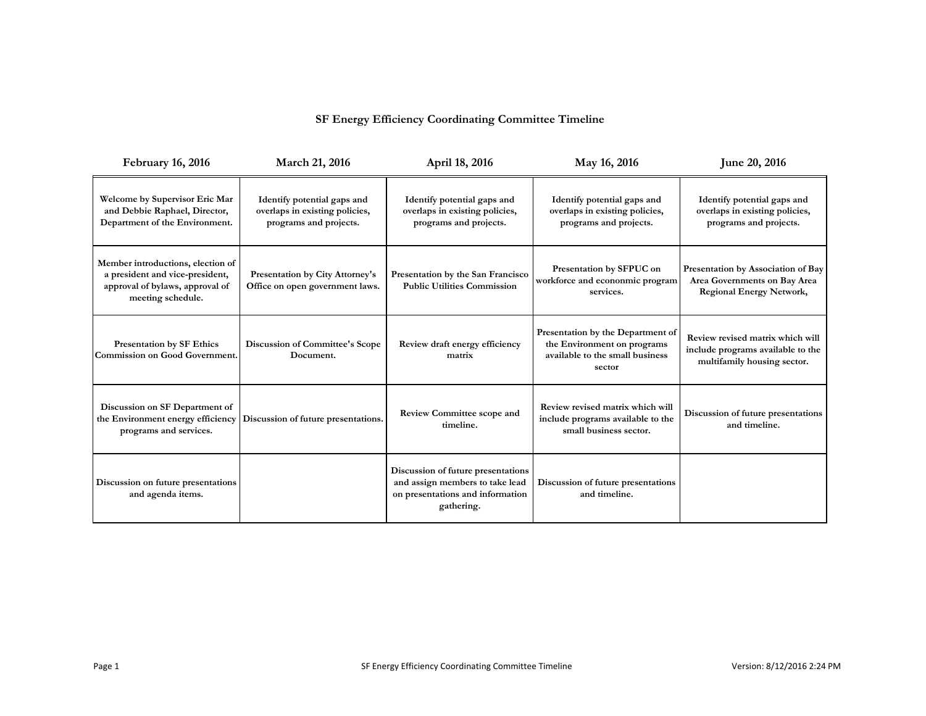## **SF Energy Efficiency Coordinating Committee Timeline**

| <b>February 16, 2016</b>                                                                                                     | March 21, 2016                                                                          | April 18, 2016                                                                                                          | May 16, 2016                                                                                                  | <b>June 20, 2016</b>                                                                                  |
|------------------------------------------------------------------------------------------------------------------------------|-----------------------------------------------------------------------------------------|-------------------------------------------------------------------------------------------------------------------------|---------------------------------------------------------------------------------------------------------------|-------------------------------------------------------------------------------------------------------|
| <b>Welcome by Supervisor Eric Mar</b><br>and Debbie Raphael, Director,<br>Department of the Environment.                     | Identify potential gaps and<br>overlaps in existing policies,<br>programs and projects. | Identify potential gaps and<br>overlaps in existing policies,<br>programs and projects.                                 | Identify potential gaps and<br>overlaps in existing policies,<br>programs and projects.                       | Identify potential gaps and<br>overlaps in existing policies,<br>programs and projects.               |
| Member introductions, election of<br>a president and vice-president,<br>approval of bylaws, approval of<br>meeting schedule. | <b>Presentation by City Attorney's</b><br>Office on open government laws.               | Presentation by the San Francisco<br><b>Public Utilities Commission</b>                                                 | Presentation by SFPUC on<br>workforce and econonmic program<br>services.                                      | Presentation by Association of Bay<br>Area Governments on Bay Area<br><b>Regional Energy Network,</b> |
| <b>Presentation by SF Ethics</b><br><b>Commission on Good Government.</b>                                                    | <b>Discussion of Committee's Scope</b><br>Document.                                     | Review draft energy efficiency<br>matrix                                                                                | Presentation by the Department of<br>the Environment on programs<br>available to the small business<br>sector | Review revised matrix which will<br>include programs available to the<br>multifamily housing sector.  |
| Discussion on SF Department of<br>the Environment energy efficiency<br>programs and services.                                | Discussion of future presentations.                                                     | <b>Review Committee scope and</b><br>timeline.                                                                          | Review revised matrix which will<br>include programs available to the<br>small business sector.               | Discussion of future presentations<br>and timeline.                                                   |
| Discussion on future presentations<br>and agenda items.                                                                      |                                                                                         | Discussion of future presentations<br>and assign members to take lead<br>on presentations and information<br>gathering. | Discussion of future presentations<br>and timeline.                                                           |                                                                                                       |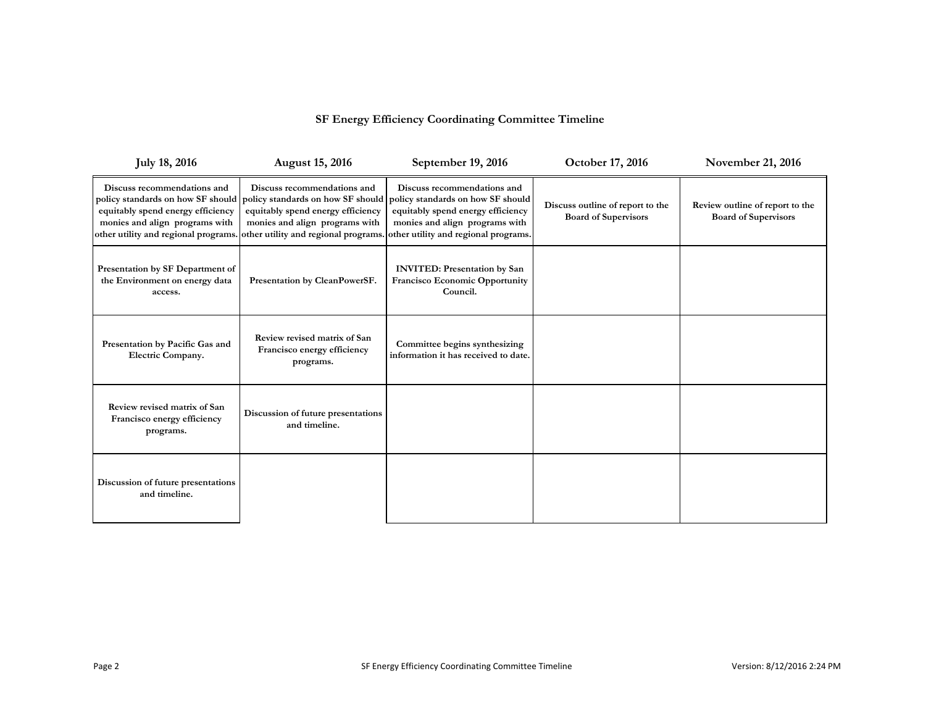## **SF Energy Efficiency Coordinating Committee Timeline**

| <b>July 18, 2016</b>                                                                                                                                                                                                                                                                        | <b>August 15, 2016</b>                                                                             | September 19, 2016                                                                                                                      | October 17, 2016                                                | <b>November 21, 2016</b>                                       |
|---------------------------------------------------------------------------------------------------------------------------------------------------------------------------------------------------------------------------------------------------------------------------------------------|----------------------------------------------------------------------------------------------------|-----------------------------------------------------------------------------------------------------------------------------------------|-----------------------------------------------------------------|----------------------------------------------------------------|
| Discuss recommendations and<br>policy standards on how SF should policy standards on how SF should<br>equitably spend energy efficiency<br>monies and align programs with<br>other utility and regional programs. other utility and regional programs. other utility and regional programs. | Discuss recommendations and<br>equitably spend energy efficiency<br>monies and align programs with | Discuss recommendations and<br>policy standards on how SF should<br>equitably spend energy efficiency<br>monies and align programs with | Discuss outline of report to the<br><b>Board of Supervisors</b> | Review outline of report to the<br><b>Board of Supervisors</b> |
| Presentation by SF Department of<br>the Environment on energy data<br>access.                                                                                                                                                                                                               | Presentation by CleanPowerSF.                                                                      | <b>INVITED: Presentation by San</b><br><b>Francisco Economic Opportunity</b><br>Council.                                                |                                                                 |                                                                |
| Presentation by Pacific Gas and<br>Electric Company.                                                                                                                                                                                                                                        | Review revised matrix of San<br>Francisco energy efficiency<br>programs.                           | Committee begins synthesizing<br>information it has received to date.                                                                   |                                                                 |                                                                |
| Review revised matrix of San<br>Francisco energy efficiency<br>programs.                                                                                                                                                                                                                    | Discussion of future presentations<br>and timeline.                                                |                                                                                                                                         |                                                                 |                                                                |
| Discussion of future presentations<br>and timeline.                                                                                                                                                                                                                                         |                                                                                                    |                                                                                                                                         |                                                                 |                                                                |